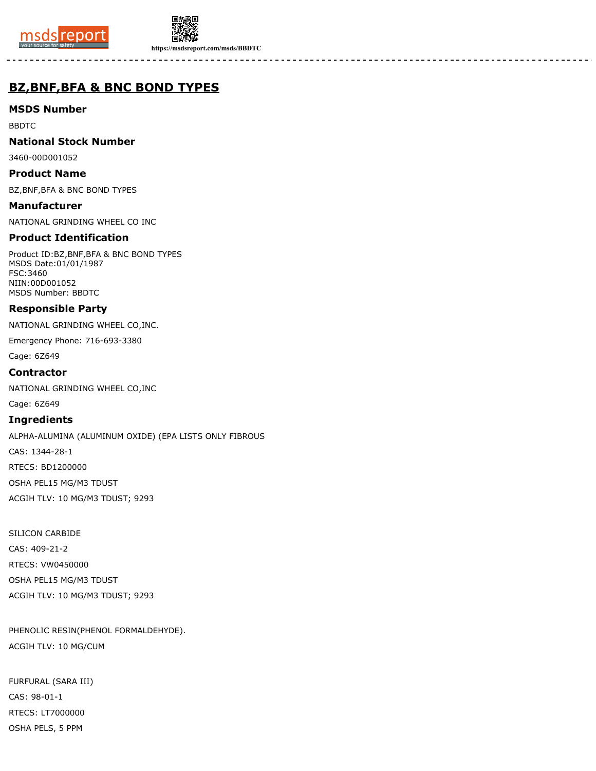



**https://msdsreport.com/msds/BBDTC**

# **BZ,BNF,BFA & BNC BOND TYPES**

**MSDS Number**

BBDTC

**National Stock Number**

3460-00D001052

**Product Name**

BZ,BNF,BFA & BNC BOND TYPES

**Manufacturer** NATIONAL GRINDING WHEEL CO INC

# **Product Identification**

Product ID:BZ,BNF,BFA & BNC BOND TYPES MSDS Date:01/01/1987 FSC:3460 NIIN:00D001052 MSDS Number: BBDTC

## **Responsible Party**

NATIONAL GRINDING WHEEL CO,INC.

Emergency Phone: 716-693-3380

Cage: 6Z649

## **Contractor**

NATIONAL GRINDING WHEEL CO,INC

Cage: 6Z649

#### **Ingredients**

ALPHA-ALUMINA (ALUMINUM OXIDE) (EPA LISTS ONLY FIBROUS CAS: 1344-28-1 RTECS: BD1200000 OSHA PEL15 MG/M3 TDUST ACGIH TLV: 10 MG/M3 TDUST; 9293

SILICON CARBIDE CAS: 409-21-2 RTECS: VW0450000 OSHA PEL15 MG/M3 TDUST ACGIH TLV: 10 MG/M3 TDUST; 9293

PHENOLIC RESIN(PHENOL FORMALDEHYDE). ACGIH TLV: 10 MG/CUM

FURFURAL (SARA III) CAS: 98-01-1 RTECS: LT7000000 OSHA PELS, 5 PPM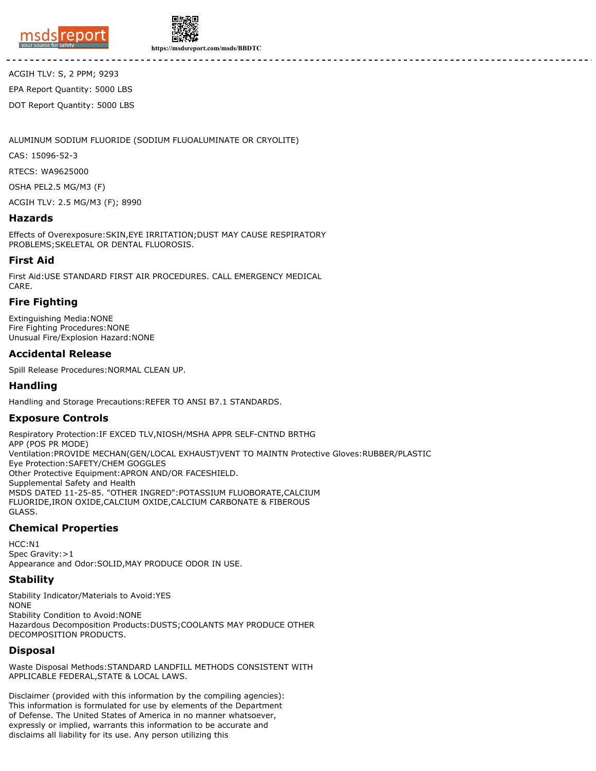



**https://msdsreport.com/msds/BBDTC**

ACGIH TLV: S, 2 PPM; 9293 EPA Report Quantity: 5000 LBS DOT Report Quantity: 5000 LBS

ALUMINUM SODIUM FLUORIDE (SODIUM FLUOALUMINATE OR CRYOLITE)

CAS: 15096-52-3

RTECS: WA9625000

OSHA PEL2.5 MG/M3 (F)

ACGIH TLV: 2.5 MG/M3 (F); 8990

#### **Hazards**

Effects of Overexposure:SKIN,EYE IRRITATION;DUST MAY CAUSE RESPIRATORY PROBLEMS;SKELETAL OR DENTAL FLUOROSIS.

## **First Aid**

First Aid:USE STANDARD FIRST AIR PROCEDURES. CALL EMERGENCY MEDICAL CARE.

# **Fire Fighting**

Extinguishing Media:NONE Fire Fighting Procedures:NONE Unusual Fire/Explosion Hazard:NONE

## **Accidental Release**

Spill Release Procedures:NORMAL CLEAN UP.

### **Handling**

Handling and Storage Precautions:REFER TO ANSI B7.1 STANDARDS.

# **Exposure Controls**

Respiratory Protection:IF EXCED TLV,NIOSH/MSHA APPR SELF-CNTND BRTHG APP (POS PR MODE) Ventilation:PROVIDE MECHAN(GEN/LOCAL EXHAUST)VENT TO MAINTN Protective Gloves:RUBBER/PLASTIC Eye Protection:SAFETY/CHEM GOGGLES Other Protective Equipment:APRON AND/OR FACESHIELD. Supplemental Safety and Health MSDS DATED 11-25-85. "OTHER INGRED":POTASSIUM FLUOBORATE,CALCIUM FLUORIDE,IRON OXIDE,CALCIUM OXIDE,CALCIUM CARBONATE & FIBEROUS GLASS.

# **Chemical Properties**

HCC:N1 Spec Gravity: > 1 Appearance and Odor:SOLID,MAY PRODUCE ODOR IN USE.

#### **Stability**

Stability Indicator/Materials to Avoid:YES NONE Stability Condition to Avoid:NONE Hazardous Decomposition Products:DUSTS;COOLANTS MAY PRODUCE OTHER DECOMPOSITION PRODUCTS.

#### **Disposal**

Waste Disposal Methods:STANDARD LANDFILL METHODS CONSISTENT WITH APPLICABLE FEDERAL,STATE & LOCAL LAWS.

Disclaimer (provided with this information by the compiling agencies): This information is formulated for use by elements of the Department of Defense. The United States of America in no manner whatsoever, expressly or implied, warrants this information to be accurate and disclaims all liability for its use. Any person utilizing this